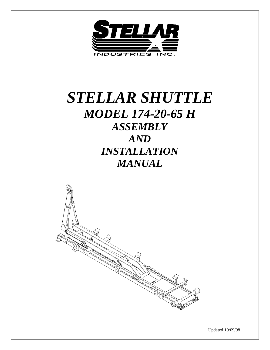

# *STELLAR SHUTTLE MODEL 174-20-65 H ASSEMBLY AND INSTALLATION MANUAL*



Updated 10/09/98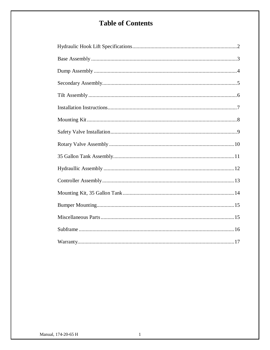# **Table of Contents**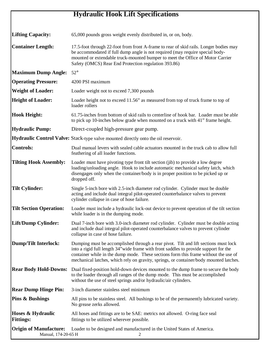# **Hydraulic Hook Lift Specifications**

| <b>Lifting Capacity:</b>                             | 65,000 pounds gross weight evenly distributed in, or on, body.                                                                                                                                                                                                                                                                                                |
|------------------------------------------------------|---------------------------------------------------------------------------------------------------------------------------------------------------------------------------------------------------------------------------------------------------------------------------------------------------------------------------------------------------------------|
| <b>Container Length:</b>                             | 17.5-foot through 22-foot from front A-frame to rear of skid rails. Longer bodies may<br>be accommodated if full dump angle is not required (may require special body-<br>mounted or extendable truck-mounted bumper to meet the Office of Motor Carrier<br>Safety (OMCS) Rear End Protection regulation 393.86)                                              |
| <b>Maximum Dump Angle:</b>                           | $52^{\circ}$                                                                                                                                                                                                                                                                                                                                                  |
| <b>Operating Pressure:</b>                           | 4200 PSI maximum                                                                                                                                                                                                                                                                                                                                              |
| <b>Weight of Loader:</b>                             | Loader weight not to exceed 7,300 pounds                                                                                                                                                                                                                                                                                                                      |
| <b>Height of Loader:</b>                             | Loader height not to exceed 11.56" as measured from top of truck frame to top of<br>loader rollers                                                                                                                                                                                                                                                            |
| <b>Hook Height:</b>                                  | 61.75-inches from bottom of skid rails to centerline of hook bar. Loader must be able<br>to pick up 10-inches below grade when mounted on a truck with 41" frame height.                                                                                                                                                                                      |
| <b>Hydraulic Pump:</b>                               | Direct-coupled high-pressure gear pump.                                                                                                                                                                                                                                                                                                                       |
|                                                      | <b>Hydraulic Control Valve:</b> Stack-type valve mounted directly onto the oil reservoir.                                                                                                                                                                                                                                                                     |
| <b>Controls:</b>                                     | Dual manual levers with sealed cable actuators mounted in the truck cab to allow full<br>feathering of all loader functions.                                                                                                                                                                                                                                  |
| <b>Tilting Hook Assembly:</b>                        | Loader must have pivoting type front tilt section (jib) to provide a low degree<br>loading/unloading angle. Hook to include automatic mechanical safety latch, which<br>disengages only when the container/body is in proper position to be picked up or<br>dropped off.                                                                                      |
| <b>Tilt Cylinder:</b>                                | Single 5-inch bore with 2.5-inch diameter rod cylinder. Cylinder must be double<br>acting and include dual integral pilot-operated counterbalance valves to prevent<br>cylinder collapse in case of hose failure.                                                                                                                                             |
| <b>Tilt Section Operation:</b>                       | Loader must include a hydraulic lock-out device to prevent operation of the tilt section<br>while loader is in the dumping mode.                                                                                                                                                                                                                              |
| Lift/Dump Cylinder:                                  | Dual 7-inch bore with 3.0-inch diameter rod cylinder. Cylinder must be double acting<br>and include dual integral pilot-operated counterbalance valves to prevent cylinder<br>collapse in case of hose failure.                                                                                                                                               |
| <b>Dump/Tilt Interlock:</b>                          | Dumping must be accomplished through a rear pivot. Tilt and lift sections must lock<br>into a rigid full length 34" wide frame with front saddles to provide support for the<br>container while in the dump mode. These sections form this frame without the use of<br>mechanical latches, which rely on gravity, springs, or container/body mounted latches. |
| <b>Rear Body Hold-Downs:</b>                         | Dual fixed-position hold-down devices mounted to the dump frame to secure the body<br>to the loader through all ranges of the dump mode. This must be accomplished<br>without the use of steel springs and/or hydraulic/air cylinders.                                                                                                                        |
| <b>Rear Dump Hinge Pin:</b>                          | 3-inch diameter stainless steel minimum                                                                                                                                                                                                                                                                                                                       |
| <b>Pins &amp; Bushings</b>                           | All pins to be stainless steel. All bushings to be of the permanently lubricated variety.<br>No grease zerks allowed.                                                                                                                                                                                                                                         |
| Hoses & Hydraulic<br><b>Fittings:</b>                | All hoses and fittings are to be SAE: metrics not allowed. O-ring face seal<br>fittings to be utilized wherever possible.                                                                                                                                                                                                                                     |
| <b>Origin of Manufacture:</b><br>Manual, 174-20-65 H | Loader to be designed and manufactured in the United States of America.<br>2                                                                                                                                                                                                                                                                                  |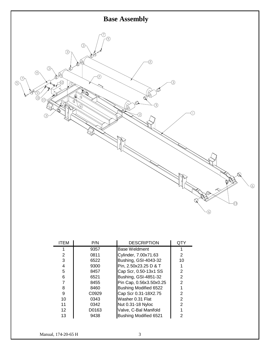

| ITEM | P/N   | <b>DESCRIPTION</b>           | QTY |
|------|-------|------------------------------|-----|
|      | 9357  | Base Weldment                |     |
| 2    | 0811  | Cylinder, 7.00x71.63         | 2   |
| 3    | 6522  | Bushing, GSI-4043-32         | 10  |
| 4    | 9300  | Pin, 2.50x23.25 D & T        |     |
| 5    | 8457  | Cap Scr, 0.50-13x1 SS        | 2   |
| 6    | 6521  | Bushing, GSI-4851-32         | 2   |
| 7    | 8455  | Pin Cap, 0.56x3.50x0.25      | 2   |
| 8    | 8460  | Bushing Modified 6522        |     |
| 9    | C0929 | Cap Scr 0.31-18X2.75         | 2   |
| 10   | 0343  | Washer 0.31 Flat             | 2   |
| 11   | 0342  | Nut 0.31-18 Nyloc            | 2   |
| 12   | D0163 | Valve, C-Bal Manifold        |     |
| 13   | 9438  | <b>Bushing Modified 6521</b> | 2   |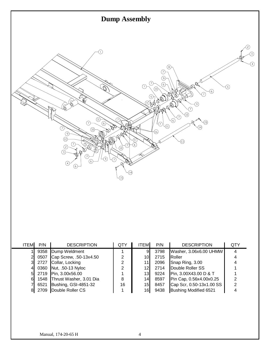

| <b>ITEM</b> | P/N  | <b>DESCRIPTION</b>           | QTY | <b>ITEM</b>     | P/N  | <b>DESCRIPTION</b>       | QTY |
|-------------|------|------------------------------|-----|-----------------|------|--------------------------|-----|
|             |      | 9358 Dump Weldment           |     | 9               | 3798 | Washer, 3.06x6.00 UHMW   |     |
|             | 0507 | Cap Screw, .50-13x4.50       | 2   | 10 <sub>l</sub> | 2715 | Roller                   | 4   |
|             | 2727 | Collar, Locking              | 2   | 11 <sub>1</sub> | 2096 | Snap Ring, 3.00          | 4   |
|             |      | 0360 Nut, .50-13 Nyloc       | 2   | 12 <sub>l</sub> | 2714 | Double Roller SS         |     |
|             | 2719 | Pin, 3.00x56.00              |     | 13              | 9224 | Pin, 3.00X43.00 D & T    |     |
|             |      | 1548 Thrust Washer, 3.01 Dia | 8   | 14              | 8597 | Pin Cap, 0.56x4.00x0.25  |     |
|             | 6521 | Bushing, GSI-4851-32         | 16  | 15 <sub>l</sub> | 8457 | Cap Scr, 0.50-13x1.00 SS | 2   |
|             | 2709 | Double Roller CS             |     | 16              | 9438 | Bushing Modified 6521    |     |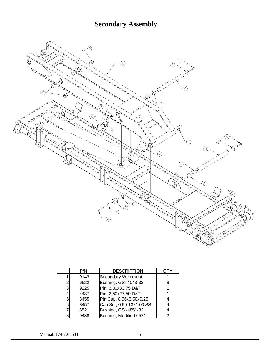

|                | P/N  | <b>DESCRIPTION</b>       |   |
|----------------|------|--------------------------|---|
|                | 9143 | Secondary Weldment       |   |
| $\overline{2}$ | 6522 | Bushing, GSI-4043-32     | 8 |
| $\overline{3}$ | 9225 | Pin, 3.00x33.75 D&T      |   |
| 4              | 4437 | Pin, 2.50x27.50 D&T      |   |
| $5 \mid$       | 8455 | Pin Cap, 0.56x3.50x0.25  |   |
| 61             | 8457 | Cap Scr, 0.50-13x1.00 SS |   |
| 7              | 6521 | Bushing, GSI-4851-32     |   |
| 8              | 9438 | Bushing, Modified 6521   |   |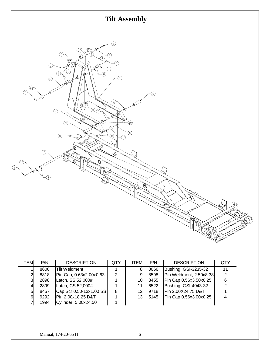

| <b>ITEM</b> | P/N  | <b>DESCRIPTION</b>      | QTY | <b>ITEM</b> | P/N  | <b>DESCRIPTION</b>      | QTY |
|-------------|------|-------------------------|-----|-------------|------|-------------------------|-----|
|             | 8600 | <b>Tilt Weldment</b>    |     | 81          | 0066 | Bushing, GSI-3235-32    | 11  |
| 2           | 8818 | Pin Cap, 0.63x2.00x0.63 | 2   | 9           | 8598 | Pin Weldment, 2.50x8.38 | 2   |
| 3           | 2898 | Latch, SS 52,000#       |     | 10I         | 8455 | Pin Cap 0.56x3.50x0.25  | 6   |
| 4           | 2899 | Latch, CS 52,000#       |     | 11I         | 6522 | Bushing, GSI-4043-32    |     |
| 51          | 8457 | Cap Scr 0.50-13x1.00 SS | 8   | 12I         | 9718 | Pin 2.00X24.75 D&T      |     |
| 61          | 9292 | Pin 2.00x18.25 D&T      |     | 13          | 5145 | Pin Cap 0.56x3.00x0.25  |     |
|             | 1994 | Cylinder, 5.00x24.50    |     |             |      |                         |     |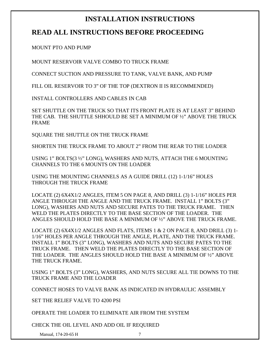### **INSTALLATION INSTRUCTIONS**

### **READ ALL INSTRUCTIONS BEFORE PROCEEDING**

MOUNT PTO AND PUMP

MOUNT RESERVOIR VALVE COMBO TO TRUCK FRAME

CONNECT SUCTION AND PRESSURE TO TANK, VALVE BANK, AND PUMP

FILL OIL RESERVOIR TO 3" OF THE TOP (DEXTRON II IS RECOMMENDED)

INSTALL CONTROLLERS AND CABLES IN CAB

SET SHUTTLE ON THE TRUCK SO THAT ITS FRONT PLATE IS AT LEAST 3" BEHIND THE CAB. THE SHUTTLE SHHOULD BE SET A MINIMUM OF ½" ABOVE THE TRUCK FRAME

SQUARE THE SHUTTLE ON THE TRUCK FRAME

SHORTEN THE TRUCK FRAME TO ABOUT 2" FROM THE REAR TO THE LOADER

USING 1" BOLTS(3 ½" LONG), WASHERS AND NUTS, ATTACH THE 6 MOUNTING CHANNELS TO THE 6 MOUNTS ON THE LOADER

USING THE MOUNTING CHANNELS AS A GUIDE DRILL (12) 1-1/16" HOLES THROUGH THE TRUCK FRAME

LOCATE (2) 6X4X1/2 ANGLES, ITEM 5 ON PAGE 8, AND DRILL (3) 1-1/16" HOLES PER ANGLE THROUGH THE ANGLE AND THE TRUCK FRAME. INSTALL 1" BOLTS (3" LONG), WASHERS AND NUTS AND SECURE PATES TO THE TRUCK FRAME. THEN WELD THE PLATES DIRECTLY TO THE BASE SECTION OF THE LOADER. THE ANGLES SHOULD HOLD THE BASE A MINIMUM OF ½" ABOVE THE TRUCK FRAME.

LOCATE (2)  $6X4X1/2$  ANGLES AND FLATS, ITEMS 1 & 2 ON PAGE 8, AND DRILL (3) 1-1/16" HOLES PER ANGLE THROUGH THE ANGLE, PLATE, AND THE TRUCK FRAME. INSTALL 1" BOLTS (3" LONG), WASHERS AND NUTS AND SECURE PATES TO THE TRUCK FRAME. THEN WELD THE PLATES DIRECTLY TO THE BASE SECTION OF THE LOADER. THE ANGLES SHOULD HOLD THE BASE A MINIMUM OF ½" ABOVE THE TRUCK FRAME.

USING 1" BOLTS (3" LONG), WASHERS, AND NUTS SECURE ALL TIE DOWNS TO THE TRUCK FRAME AND THE LOADER

CONNECT HOSES TO VALVE BANK AS INDICATED IN HYDRAULIC ASSEMBLY

SET THE RELIEF VALVE TO 4200 PSI

OPERATE THE LOADER TO ELIMINATE AIR FROM THE SYSTEM

CHECK THE OIL LEVEL AND ADD OIL IF REQUIRED

Manual, 174-20-65 H 7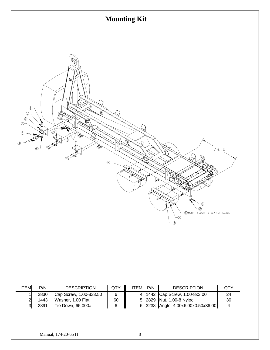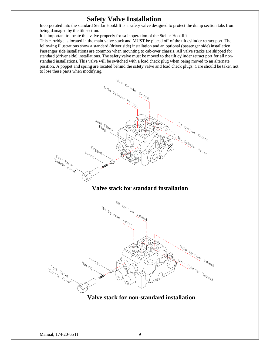#### **Safety Valve Installation**

Incorporated into the standard Stellar Hooklift is a safety valve designed to protect the dump section tabs from being damaged by the tilt section.

It is important to locate this valve properly for safe operation of the Stellar Hooklift.

This cartridge is located in the main valve stack and MUST be placed off of the tilt cylinder retract port. The following illustrations show a standard (driver side) installation and an optional (passenger side) installation. Passenger side installations are common when mounting to cab-over chassis. All valve stacks are shipped for standard (driver side) installations. The safety valve must be moved to the tilt cylinder retract port for all nonstandard installations. This valve will be switched with a load check plug when being moved to an alternate position. A poppet and spring are located behind the safety valve and load check plugs. Care should be taken not to lose these parts when modifying.



#### **Valve stack for standard installation**



**Valve stack for non-standard installation**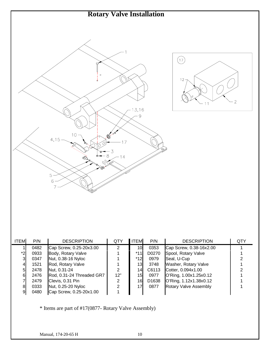

| <b>ITEM</b> | P/N  | <b>DESCRIPTION</b>        | QTY | <b>ITEM</b> | P/N               | <b>DESCRIPTION</b>           | QTY |
|-------------|------|---------------------------|-----|-------------|-------------------|------------------------------|-----|
|             | 0482 | Cap Screw, 0.25-20x3.00   | 2   | 10I         | 0353              | Cap Screw, 0.38-16x2.00      |     |
| *2          | 0933 | Body, Rotary Valve        |     | $*11$       | D0270             | Spool, Rotary Valve          |     |
| 3           | 0347 | Nut, 0.38-16 Nyloc        |     | *12         | 0979              | Seal, U-Cup                  |     |
| 41          | 1521 | Rod, Rotary Valve         |     | 13          | 3748              | Washer, Rotary Valve         |     |
| 51          | 2478 | Nut, 0.31-24              | 2   | 14I         | C6113             | Cotter, 0.094x1.00           |     |
| 61          | 2476 | Rod, 0.31-24 Threaded GR7 | 12" | 15          | 0977              | O'Ring, 1.00x1.25x0.12       |     |
|             | 2479 | Clevis, 0.31 Pin          | 2   | 16          | D <sub>1638</sub> | O'Ring, 1.12x1.38x0.12       |     |
| 81          | 0333 | Nut, 0.25-20 Nyloc        | 2   | 17          | 0877              | <b>Rotary Valve Assembly</b> |     |
| 91          | 0480 | Cap Screw, 0.25-20x1.00   |     |             |                   |                              |     |

\* Items are part of #17(0877- Rotary Valve Assembly)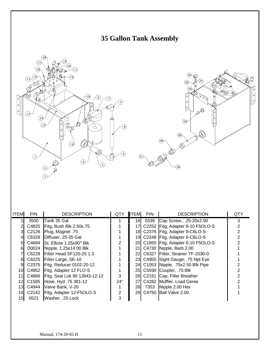





| <b>ITEM</b> | P/N   | <b>DESCRIPTION</b>                    | <b>QTY</b> | <b>ITEM</b> | P/N  | <b>DESCRIPTION</b>                  | QTY |
|-------------|-------|---------------------------------------|------------|-------------|------|-------------------------------------|-----|
|             | 3500  | Tank 35 Gal                           |            | 16          | 0339 | Cap Screw., .25-20x2.50             | 3   |
|             | C4825 | Fitg, Bush Blk 2.50x.75               |            | 171         |      | C2252 Fitg, Adapter 8-10 F5OLO-S    |     |
|             | C2126 | Plug, Magnet .75                      |            |             |      | 18 C2376 Fitg, Adapter 8-C6LO-S     |     |
|             | C6328 | Diffuser, 25-35 Gal                   |            |             |      | 19 C2248 Fitg, Adapter 6-C6LO-S     |     |
| 51          |       | C4694 St. Elbow $1.25x90^\circ$ Blk   |            |             |      | 20 C1855 Fitg, Adapter 6-10 F5OLO-S |     |
| 61          |       | D0024 Nipple, 1.25x14.00 Blk          |            |             |      | 21 C4730 Nipple, Barb 2.00          |     |
|             | C6228 | Filter Head SF120-25 1.3              |            |             |      | 22 C6327 Filter, Strainer TF-2030-0 |     |
| 81          |       | C6225 Filter Large, SE-10             |            |             |      | 23 C4955 Sight Gauge, 75 Npt Eye    |     |
| 9           |       | C2375   Fitg, Reducer 0102-20-12      |            |             |      | 24 C1053 Nipple, 75x2.50 Blk Pipe   |     |
| 10I         | C4952 | Fitg, Adapter 12 FLO-S                |            |             |      | 25 C5930 Coupler, 75 Blk            |     |
| 11I         |       | C4866   Fitg, Seal Lok 90 1J943-12-12 | 3          |             |      | 26 C2151 Cap, Filler Breather       |     |
| 12I         | C1585 | Hose, Hyd. 75 381-12                  | 24"        |             |      | 27 C4282 Muffler, Load Genie        |     |
| 13I         | C4944 | Valve Bank, V-20                      |            | 28          | 7353 | Nipple 2.00 Hex                     |     |
| 14I         |       | C2142   Fitg, Adapter 12-F5OLO-S      | 2          |             |      | 29 C4750 Ball Valve 2.00            |     |
| 15I         | 0521  | Washer, .25 Lock                      | 3          |             |      |                                     |     |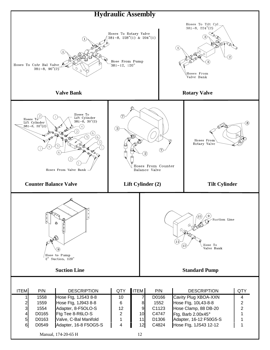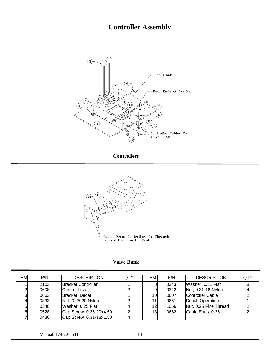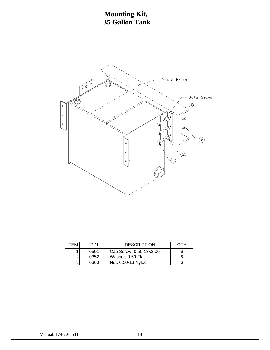

| <b>ITEM</b> | P/N  | <b>DESCRIPTION</b>                      | OTY |
|-------------|------|-----------------------------------------|-----|
|             | 0501 | Cap Screw, 0.50-13x2.00                 |     |
|             | 0352 | Washer, 0.50 Flat<br>Nut, 0.50-13 Nyloc | 6   |
| 31          | 0360 |                                         | 6   |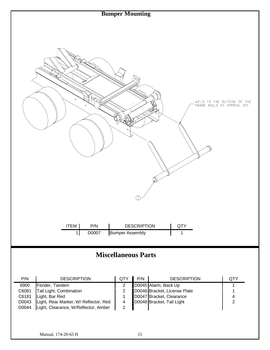

# **Miscellaneous Parts**

| P/N   | <b>DESCRIPTION</b>                    | <b>QTY</b> | P/N | <b>DESCRIPTION</b>           | QTY |
|-------|---------------------------------------|------------|-----|------------------------------|-----|
| 6900  | Fender, Tandem                        |            |     | D0045 Alarm, Back Up         |     |
| C6081 | Tail Light, Combination               |            |     | D0046 Bracket, License Plate |     |
| C6181 | Light, Bar Red                        |            |     | D0047 Bracket, Clearance     |     |
| D0043 | Light, Rear Marker, W/ Reflector, Red |            |     | D0048 Bracket, Tail Light    |     |
| D0044 | Light, Clearance, W/Reflector, Amber  |            |     |                              |     |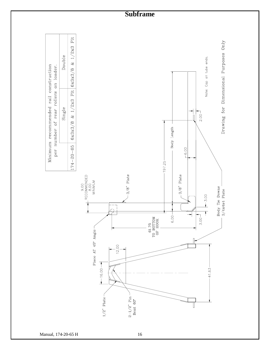

Manual, 174-20-65 H 16